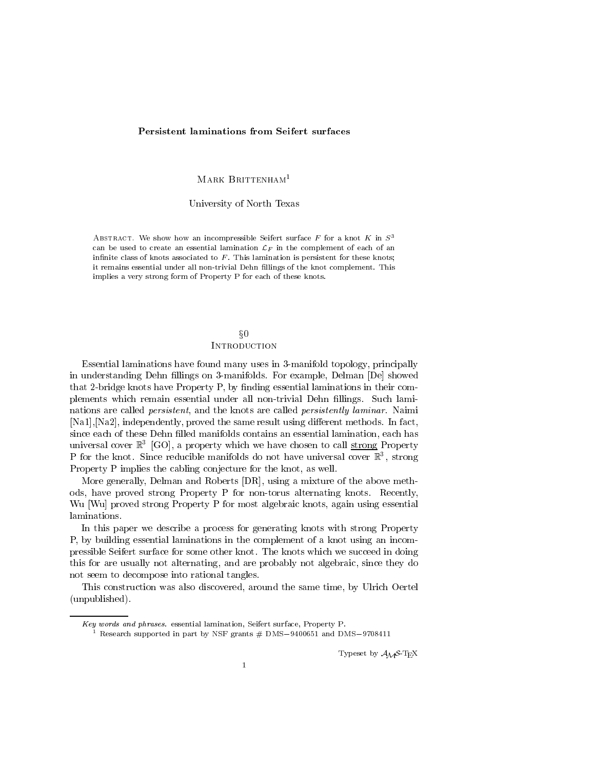### **Persistent laminations from Seifert surfaces**

MARK BRITTENHAM<sup>1</sup>

University of North Texas

ABSTRACT. We show how an incompressible Seifert surface F for a knot K in  $S<sup>3</sup>$ can be used to create an essential lamination  $\mathcal{L}_F$  in the complement of each of an infinite class of knots associated to  $F$ . This lamination is persistent for these knots; it remains essential under all non-trivial Dehn fillings of the knot complement. This implies a very strong form of Property P for each of these knots.

# $\S 0$ **INTRODUCTION**

Essential laminations have found many uses in 3-manifold topology, principally in understanding Dehn fillings on 3-manifolds. For example, Delman [De] showed that 2-bridge knots have Property  $P$ , by finding essential laminations in their complements which remain essential under all non-trivial Dehn fillings. Such laminations are called persistent, and the knots are called persistently laminar. Naimi [Na1], [Na2], independently, proved the same result using different methods. In fact, since each of these Dehn filled manifolds contains an essential lamination, each has universal cover R3 [GO], a property which we have chosen to call strong Property P for the knot. Since reducible manifolds do not have universal cover R3 , strong Property P implies the cabling conjecture for the knot, as well.

More generally, Delman and Roberts [DR], using a mixture of the above methods, have proved strong Property P for non-torus alternating knots. Recently, Wu [Wu] proved strong Property P for most algebraic knots, again using essential laminations.

In this paper we describe a process for generating knots with strong Property P, by building essential laminations in the complement of a knot using an incompressible Seifert surface for some other knot. The knots which we succeed in doing this for are usually not alternating, and are probably not algebraic, since they do not seem to decompose into rational tangles.

This construction was also discovered, around the same time, by Ulrich Oertel (unpublished).

Typeset by  $A_{\mathcal{M}}S$ -T<sub>E</sub>X

Key words and phrases. essential lamination, Seifert surface, Property P.

 $\pm$  research supported in part by NSF grants  $\#$  DMS-9400651 and DMS-9708411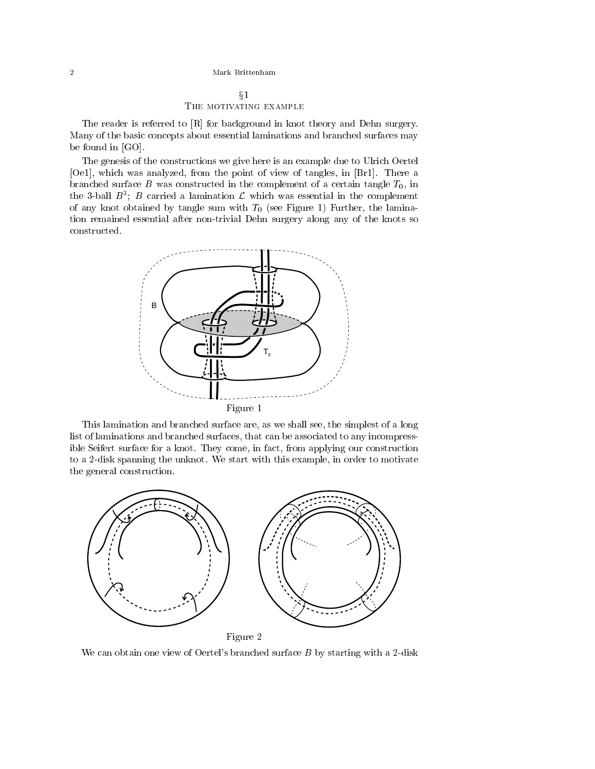# $\S1$ THE MOTIVATING EXAMPLE

The reader is referred to [R] for background in knot theory and Dehn surgery. Many of the basic concepts about essential laminations and branched surfaces may be found in [GO].

The genesis of the constructions we give here is an example due to Ulrich Oertel [Oe1], which was analyzed, from the point of view of tangles, in [Br1]. There a branched surface B was constructed in the complement of a certain tangle  $T_0$ , in the 3-ball  $B$  ;  $B$  carried a lamination  ${\cal L}$  which was essential in the complement of any knot obtained by tangle sum with  $T_0$  (see Figure 1) Further, the lamination remained essential after non-trivial Dehn surgery along any of the knots so constructed.



This lamination and branched surface are, as we shall see, the simplest of a long list of laminations and branched surfaces, that can be associated to any incompressible Seifert surface for a knot. They come, in fact, from applying our construction to a 2-disk spanning the unknot. We start with this example, in order to motivate the general construction.



We can obtain one view of Oertel's branched surface  $B$  by starting with a 2-disk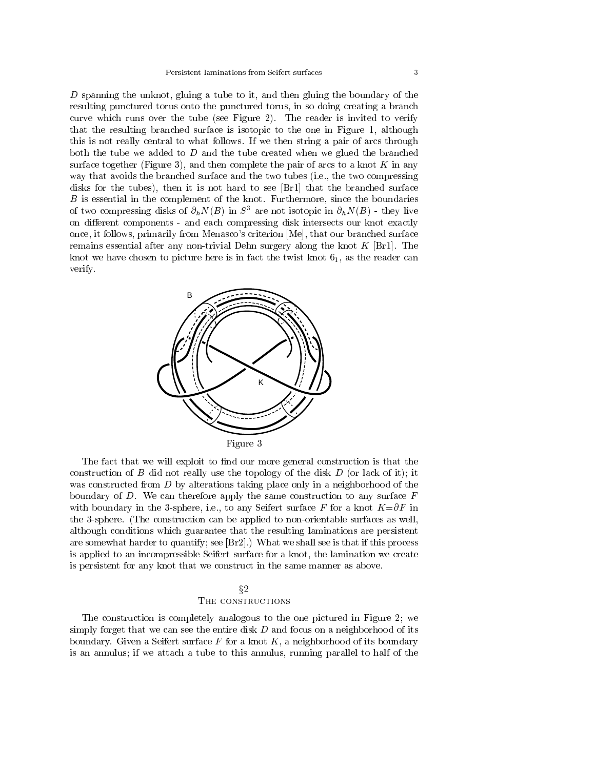D spanning the unknot, gluing a tube to it, and then gluing the boundary of the resulting punctured torus onto the punctured torus, in so doing creating a branch curve which runs over the tube (see Figure 2). The reader is invited to verify that the resulting branched surface is isotopic to the one in Figure 1, although this is not really central to what follows. If we then string a pair of arcs through both the tube we added to  $D$  and the tube created when we glued the branched surface together (Figure 3), and then complete the pair of arcs to a knot  $K$  in any way that avoids the branched surface and the two tubes (i.e., the two compressing disks for the tubes), then it is not hard to see [Br1] that the branched surface B is essential in the complement of the knot. Furthermore, since the boundaries of two compressing disks of  $\partial_h N(B)$  in  $S^3$  are not isotopic in  $\partial_h N(B)$  - they live on different components - and each compressing disk intersects our knot exactly once, it follows, primarily from Menasco's criterion [Me], that our branched surface remains essential after any non-trivial Dehn surgery along the knot  $K$  [Br1]. The knot we have chosen to picture here is in fact the twist knot  $6<sub>1</sub>$ , as the reader can verify.



The fact that we will exploit to find our more general construction is that the construction of  $B$  did not really use the topology of the disk  $D$  (or lack of it); it was constructed from D by alterations taking place only in a neighborhood of the boundary of  $D$ . We can therefore apply the same construction to any surface  $F$ with boundary in the 3-sphere, i.e., to any Seifert surface F for a knot  $K=\partial F$  in the 3-sphere. (The construction can be applied to non-orientable surfaces as well, although conditions which guarantee that the resulting laminations are persistent are somewhat harder to quantify; see  $[\text{Br2}]$ .) What we shall see is that if this process is applied to an incompressible Seifert surface for a knot, the lamination we create is persistent for any knot that we construct in the same manner as above.

# $\S 2$ THE CONSTRUCTIONS

The construction is completely analogous to the one pictured in Figure 2; we simply forget that we can see the entire disk  $D$  and focus on a neighborhood of its boundary. Given a Seifert surface  $F$  for a knot  $K$ , a neighborhood of its boundary is an annulus; if we attach a tube to this annulus, running parallel to half of the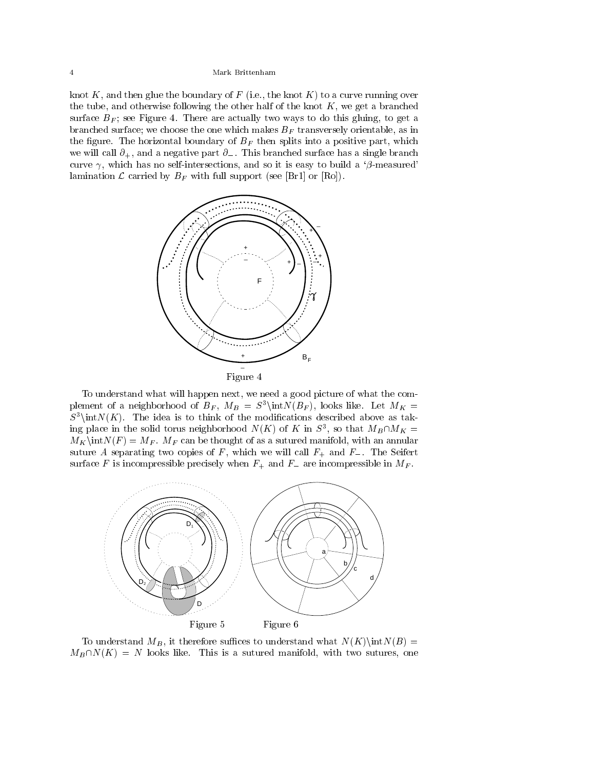knot  $K$ , and then glue the boundary of  $F$  (i.e., the knot  $K$ ) to a curve running over the tube, and otherwise following the other half of the knot  $K$ , we get a branched surface  $B_F$ ; see Figure 4. There are actually two ways to do this gluing, to get a branched surface; we choose the one which makes  $B_F$  transversely orientable, as in the figure. The horizontal boundary of  $B_F$  then splits into a positive part, which we will call  $\partial_+$ , and a negative part  $\partial_-$ . This branched surface has a single branch curve  $\gamma$ , which has no self-intersections, and so it is easy to build a ' $\beta$ -measured' lamination  $\mathcal L$  carried by  $B_F$  with full support (see [Br1] or [Ro]).





To understand what will happen next, we need a good picture of what the complement of a neighborhood of  $B_F$ ,  $M_B = S^3\int N(B_F)$ , looks like. Let  $M_K =$  $S^3\in N(K)$ . The idea is to think of the modifications described above as taking place in the solid torus heighborhood  $N(K)$  of K in  $S^2$ , so that  $M_B\cap M_K =$  $M_K\in N(F) = M_F$ . M<sub>F</sub> can be thought of as a sutured manifold, with an annular suture A separating two copies of F, which we will call  $F_+$  and  $F_-$ . The Seifert surface F is incompressible precisely when  $F_+$  and  $F_-$  are incompressible in  $M_F$ .



To understand  $M_B$ , it therefore suffices to understand what  $N(K)\in N(B)$  =  $M_B\cap N(K) = N$  looks like. This is a sutured manifold, with two sutures, one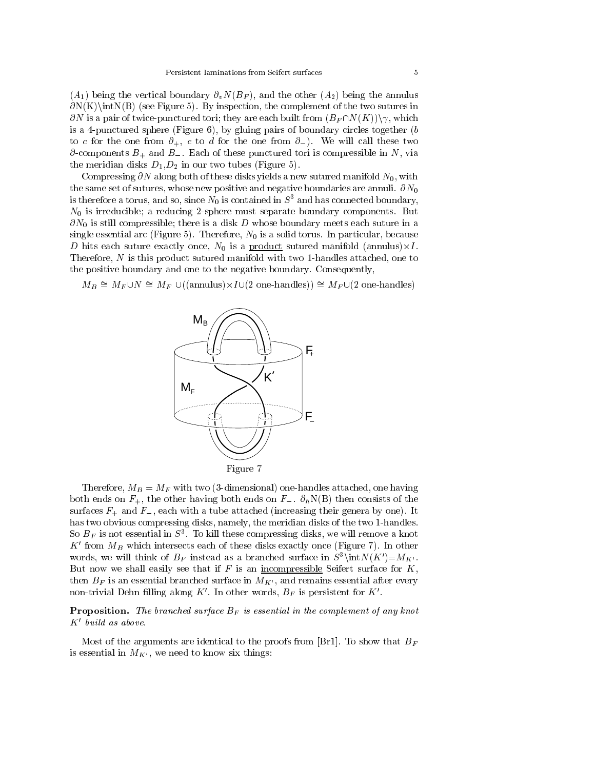$(A_1)$  being the vertical boundary  $\partial_v N(B_F)$ , and the other  $(A_2)$  being the annulus  $\partial N(K)\in N(B)$  (see Figure 5). By inspection, the complement of the two sutures in  $\partial N$  is a pair of twice-punctured tori; they are each built from  $(B_F \cap N(K))\setminus \gamma$ , which is a 4-punctured sphere (Figure 6), by gluing pairs of boundary circles together  $(b)$ to c for the one from  $\partial_+$ , c to d for the one from  $\partial_-$ ). We will call these two  $\partial$ -components  $B_+$  and  $B_-$ . Each of these punctured tori is compressible in N, via the meridian disks  $D_1, D_2$  in our two tubes (Figure 5).

Compressing  $\partial N$  along both of these disks yields a new sutured manifold  $N_0$ , with the same set of sutures, whose new positive and negative boundaries are annuli.  $\partial N_0$ is therefore a torus, and so, since  $N_0$  is contained in  $S^3$  and has connected boundary,  $N_0$  is irreducible; a reducing 2-sphere must separate boundary components. But  $\partial N_0$  is still compressible; there is a disk D whose boundary meets each suture in a single essential arc (Figure 5). Therefore,  $N_0$  is a solid torus. In particular, because <sup>D</sup> hits each suture exactly once, N0 is <sup>a</sup> product sutured manifold (annulus)-I . Therefore, N is this product sutured manifold with two 1-handles attached, one to the positive boundary and one to the negative boundary. Consequently,

 $M_{B} = M_{F} U N = M_{F} U ($  annulus)  $\lambda I U (2)$  one-handles))  $= M_{F} U (2)$  one-handles)



Therefore,  $M_B = M_F$  with two (3-dimensional) one-handles attached, one having both ends on  $F_+$ , the other having both ends on  $F_-$ .  $\partial_h N(B)$  then consists of the surfaces  $F_+$  and  $F_-$ , each with a tube attached (increasing their genera by one). It has two obvious compressing disks, namely, the meridian disks of the two 1-handles. So  $D_F$  is not essential in S<sup>-</sup>. To kill these compressing disks, we will remove a knot  $K'$  from  $M_B$  which intersects each of these disks exactly once (Figure 7). In other words, we will think of  $B_F$  instead as a branched surface in  $S^3\int K'(K')=M_{K'}$ . But now we shall easily see that if  $F$  is an incompressible Seifert surface for  $K$ , then  $B_F$  is an essential branched surface in  $M_{K'}$ , and remains essential after every non-trivial Dehn filling along K'. In other words,  $B_F$  is persistent for K'.

**Proposition.** The branched surface  $B_F$  is essential in the complement of any knot  $K'$  build as above.

Most of the arguments are identical to the proofs from [Br1]. To show that  $B_F$ is essential in  $M_{K'}$ , we need to know six things: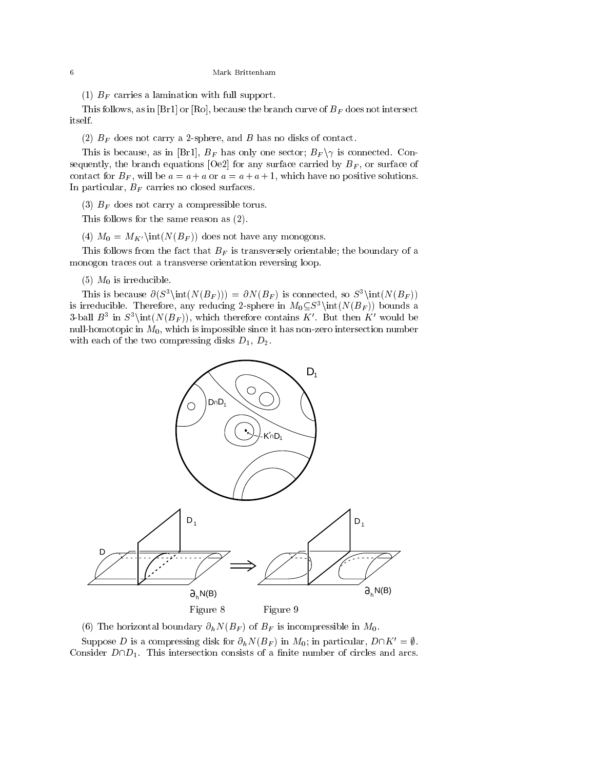(1)  $B_F$  carries a lamination with full support.

This follows, as in [Br1] or [Ro], because the branch curve of  $B_F$  does not intersect itself.

(2)  $B_F$  does not carry a 2-sphere, and  $B$  has no disks of contact.

This is because, as in [Br1],  $B_F$  has only one sector;  $B_F \gamma$  is connected. Consequently, the branch equations [Oe2] for any surface carried by  $B<sub>F</sub>$ , or surface of contact for  $B_F$ , will be  $a = a + a$  or  $a = a + a + 1$ , which have no positive solutions. In particular,  $B_F$  carries no closed surfaces.

(3)  $B_F$  does not carry a compressible torus.

This follows for the same reason as (2).

(4)  $M_0 = M_{K'}\int (N(B_F))$  does not have any monogons.

This follows from the fact that  $B_F$  is transversely orientable; the boundary of a monogon traces out a transverse orientation reversing loop.

 $(5)$   $M_0$  is irreducible.

This is because  $\partial(S^3\int(N(B_F))) = \partial N(B_F)$  is connected, so  $S^3\int(N(B_F))$ is irreducible. Therefore, any reducing 2-sphere in  $M_0\subset S^3\int (N(B_F))$  bounds a 3-ball  $B^+$  in  $S^+$  (interface), which therefore contains  $K$  . But then  $K^-$  would be null-homotopic in  $M_0$ , which is impossible since it has non-zero intersection number with each of the two compressing disks  $D_1, D_2$ .



(6) The horizontal boundary  $\partial_h N(B_F)$  of  $B_F$  is incompressible in  $M_0$ .<br>Suppose D is a compressing disk for  $\partial_h N(B_F)$  in  $M_0$ ; in particular,  $D\cap K' = \emptyset$ . Consider  $D \cap D_1$ . This intersection consists of a finite number of circles and arcs.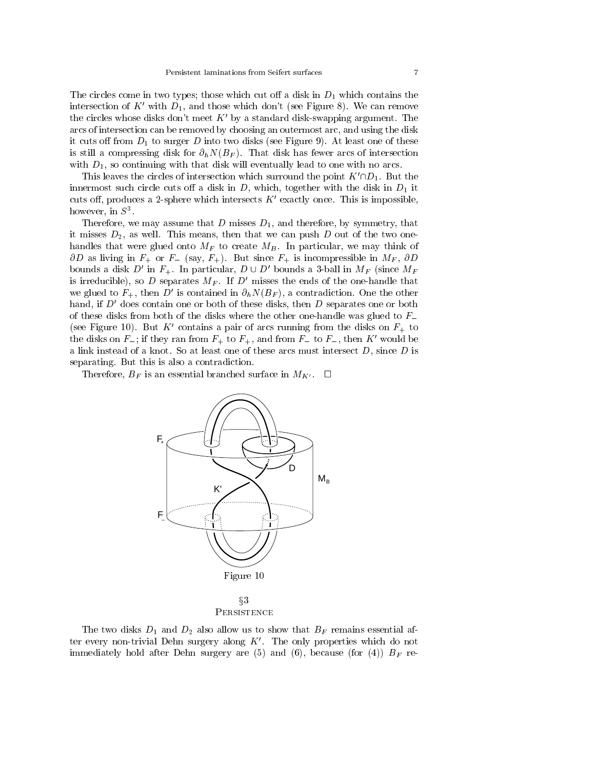The circles come in two types; those which cut off a disk in  $D_1$  which contains the intersection of  $K'$  with  $D_1$ , and those which don't (see Figure 8). We can remove the circles whose disks don't meet  $K'$  by a standard disk-swapping argument. The arcs of intersection can be removed by choosing an outermost arc, and using the disk it cuts off from  $D_1$  to surger D into two disks (see Figure 9). At least one of these is still a compressing disk for  $\partial_h N(B_F)$ . That disk has fewer arcs of intersection with  $D_1$ , so continuing with that disk will eventually lead to one with no arcs.

This leaves the circles of intersection which surround the point  $K' \cap D_1$ . But the innermost such circle cuts off a disk in  $D$ , which, together with the disk in  $D_1$  it cuts off, produces a 2-sphere which intersects  $K'$  exactly once. This is impossible, however, in  $S^3$ .

Therefore, we may assume that  $D$  misses  $D_1$ , and therefore, by symmetry, that it misses  $D_2$ , as well. This means, then that we can push D out of the two onehandles that were glued onto  $M_F$  to create  $M_B$ . In particular, we may think of  $\partial D$  as living in  $F_+$  or  $F_-$  (say,  $F_+$ ). But since  $F_+$  is incompressible in  $M_F$ ,  $\partial D$ bounds a disk D' in  $F_+$ . In particular,  $D \cup D'$  bounds a 3-ball in  $M_F$  (since  $M_F$ is irreducible), so  $D$  separates  $M_F$ . If  $D'$  misses the ends of the one-handle that we glued to  $F_+$ , then D' is contained in  $\partial_h N(B_F)$ , a contradiction. One the other hand, if  $D'$  does contain one or both of these disks, then  $D$  separates one or both of these disks from both of the disks where the other one-handle was glued to  $F_{-}$ (see Figure 10). But K' contains a pair of arcs running from the disks on  $F_{+}$  to the disks on  $F_{-}$ ; if they ran from  $F_{+}$  to  $F_{+}$ , and from  $F_{-}$  to  $F_{-}$ , then K' would be a link instead of a knot. So at least one of these arcs must intersect  $D$ , since  $D$  is separating. But this is also a contradiction.

Therefore,  $B_F$  is an essential branched surface in  $M_{K'}$ .  $\Box$ 



**PERSISTENCE** 

The two disks  $D_1$  and  $D_2$  also allow us to show that  $B_F$  remains essential after every non-trivial Dehn surgery along  $K'$ . The only properties which do not immediately hold after Dehn surgery are (5) and (6), because (for (4))  $B_F$  re-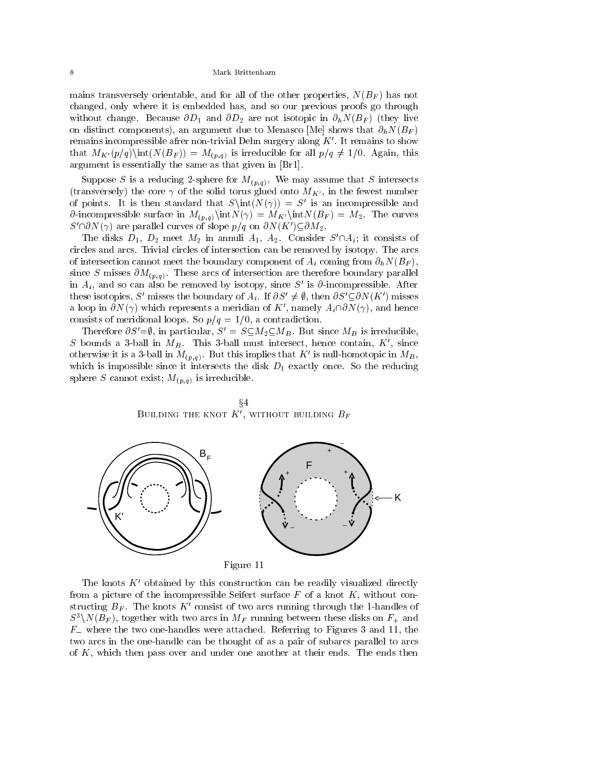mains transversely orientable, and for all of the other properties,  $N(B_F)$  has not changed, only where it is embedded has, and so our previous proofs go through without change. Because  $\partial D_1$  and  $\partial D_2$  are not isotopic in  $\partial_h N(B_F)$  (they live on distinct components), an argument due to Menasco [Me] shows that  $\partial_h N(B_F)$ remains incompressible afrer non-trivial Dehn surgery along  $K'$ . It remains to show that  $M_{K'}(p/q)\in(N(B_F)) = M_{(p,q)}$  is irreducible for all  $p/q \neq 1/0$ . Again, this argument is essentially the same as that given in [Br1].

Suppose S is a reducing 2-sphere for  $M_{(p,q)}$ . We may assume that S intersects (transversely) the core  $\gamma$  of the solid torus glued onto  $M_{K'}$ , in the fewest number of points. It is then standard that  $S\int(N(\gamma)) = S'$  is an incompressible and  $\partial$ -incompressible surface in  $M_{(p,q)}\in M_{K'}\infty$   $\int_{K'}\int_{K}N(B_F) = M_2$ . The curves  $S' \cap \partial N(\gamma)$  are parallel curves of slope  $p/q$  on  $\partial N(K') \subseteq \partial M_2$ .

The disks  $D_1$ ,  $D_2$  meet  $M_2$  in annuli  $A_1$ ,  $A_2$ . Consider  $S' \cap A_i$ ; it consists of circles and arcs. Trivial circles of intersection can be removed by isotopy. The arcs of intersection cannot meet the boundary component of  $A_i$  coming from  $\partial_h N(B_F)$ , since S misses  $\partial M_{(p,q)}$ . These arcs of intersection are therefore boundary parallel in  $A_i$ , and so can also be removed by isotopy, since S' is  $\partial$ -incompressible. After these isotopies, S' misses the boundary of  $A_i$ . If  $\partial S' \neq \emptyset$ , then  $\partial S' \subset \partial N(K')$  misses a loop in  $\partial N(\gamma)$  which represents a meridian of K', namely  $A_i \cap \partial N(\gamma)$ , and hence consists of meridional loops. So  $p/q = 1/0$ , a contradiction.

Therefore  $\partial S' = \emptyset$ , in particular,  $S' = S \subseteq M_2 \subseteq M_B$ . But since  $M_B$  is irreducible, S bounds a 3-ball in  $M_B$ . This 3-ball must intersect, hence contain,  $K'$ , since otherwise it is a 3-ball in  $M(p,q)$ . But this implies that K' is null-homotopic in  $M_B$ , which is impossible since it intersects the disk  $D_1$  exactly once. So the reducing sphere S cannot exist;  $M_{(p,q)}$  is irreducible.

 $x + 1 = 1$ BUILDING THE KNOT  $K^{\prime}$ , without building  $B_F$ 



The knots  $K'$  obtained by this construction can be readily visualized directly from a picture of the incompressible Seifert surface  $F$  of a knot  $K$ , without constructing  $B_F$ . The knots K' consist of two arcs running through the 1-handles of  $S^3\backslash N(B_F)$ , together with two arcs in  $M_F$  running between these disks on  $F_+$  and F where the two one-handles were attached. Referring to Figures 3 and 11, the two arcs in the one-handle can be thought of as a pair of subarcs parallel to arcs of K, which then pass over and under one another at their ends. The ends then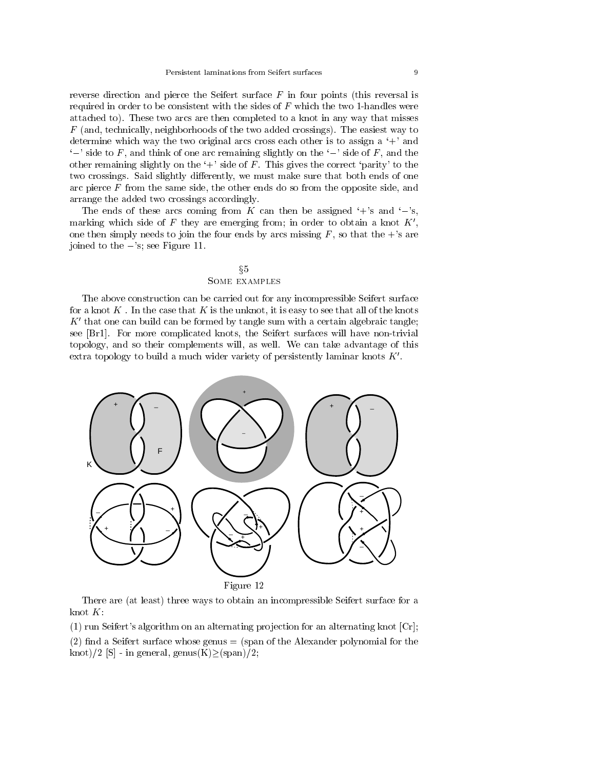reverse direction and pierce the Seifert surface  $F$  in four points (this reversal is required in order to be consistent with the sides of  $F$  which the two 1-handles were attached to). These two arcs are then completed to a knot in any way that misses  $F$  (and, technically, neighborhoods of the two added crossings). The easiest way to determine which way the two original arcs cross each other is to assign a  $+$  and  $\left\langle -\right\rangle$  side to F, and think of one arc remaining slightly on the  $\left\langle -\right\rangle$  side of F, and the other remaining slightly on the  $+$ ' side of F. This gives the correct 'parity' to the two crossings. Said slightly differently, we must make sure that both ends of one arc pierce  $F$  from the same side, the other ends do so from the opposite side, and arrange the added two crossings accordingly.

The ends of these arcs coming from K can then be assigned  $+$ 's and  $-$ 's, marking which side of F they are emerging from; in order to obtain a knot  $K'$ , one then simply needs to join the four ends by arcs missing  $F$ , so that the +'s are joined to the  $-$ 's; see Figure 11.

# $§5$ Some examples

The above construction can be carried out for any incompressible Seifert surface for a knot  $K$ . In the case that  $K$  is the unknot, it is easy to see that all of the knots  $K'$  that one can build can be formed by tangle sum with a certain algebraic tangle; see [Br1]. For more complicated knots, the Seifert surfaces will have non-trivial topology, and so their complements will, as well. We can take advantage of this extra topology to build a much wider variety of persistently laminar knots  $K'$ .



There are (at least) three ways to obtain an incompressible Seifert surface for a knot  $K$ :

(1) run Seifert's algorithm on an alternating projection for an alternating knot  $\lfloor Cr \rfloor$ ;  $(2)$  find a Seifert surface whose genus = (span of the Alexander polynomial for the knot)/2 [S] - in general, genus $(K)$ (span)/2;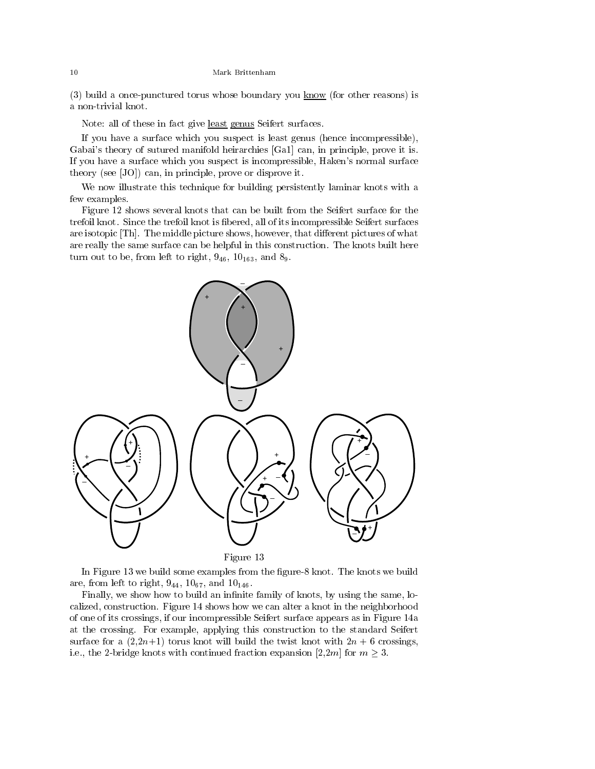(3) build a once-punctured torus whose boundary you  $\frac{\text{know}}{\text{flow}}$  (for other reasons) is a non-trivial knot.

Note: all of these in fact give least genus Seifert surfaces.

If you have a surface which you suspect is least genus (hence incompressible), Gabai's theory of sutured manifold heirarchies [Ga1] can, in principle, prove it is. If you have a surface which you suspect is incompressible, Haken's normal surface theory (see [JO]) can, in principle, prove or disprove it.

We now illustrate this technique for building persistently laminar knots with a few examples.

Figure 12 shows several knots that can be built from the Seifert surface for the trefoil knot. Since the trefoil knot is bered, all of its incompressible Seifert surfaces are isotopic [Th]. The middle picture shows, however, that different pictures of what are really the same surface can be helpful in this construction. The knots built here turn out to be, from left to right,  $9_{46}$ ,  $10_{163}$ , and  $8_9$ .



In Figure 13 we build some examples from the figure-8 knot. The knots we build are, from left to right,  $9_{44}$ ,  $10_{67}$ , and  $10_{146}$ .

Finally, we show how to build an infinite family of knots, by using the same, localized, construction. Figure 14 shows how we can alter a knot in the neighborhood of one of its crossings, if our incompressible Seifert surface appears as in Figure 14a at the crossing. For example, applying this construction to the standard Seifert surface for a  $(2,2n+1)$  torus knot will build the twist knot with  $2n+6$  crossings, i.e., the 2-bridge knots with continued fraction expansion [2,2m] for  $m \geq 3$ .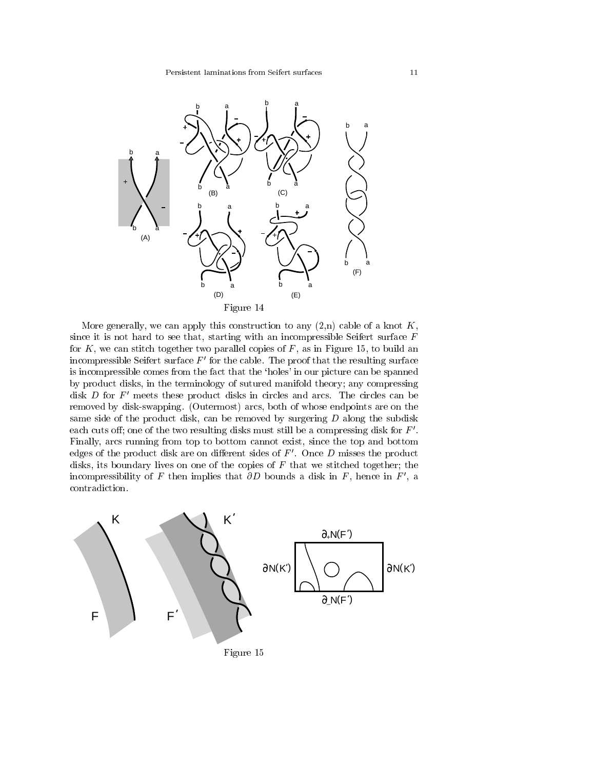

More generally, we can apply this construction to any  $(2,n)$  cable of a knot K, since it is not hard to see that, starting with an incompressible Seifert surface  $F$ for  $K$ , we can stitch together two parallel copies of  $F$ , as in Figure 15, to build an incompressible Seifert surface  $F'$  for the cable. The proof that the resulting surface is incompressible comes from the fact that the 'holes' in our picture can be spanned by product disks, in the terminology of sutured manifold theory; any compressing disk  $D$  for  $F'$  meets these product disks in circles and arcs. The circles can be removed by disk-swapping. (Outermost) arcs, both of whose endpoints are on the same side of the product disk, can be removed by surgering  $D$  along the subdisk each cuts off; one of the two resulting disks must still be a compressing disk for  $F'$ . Finally, arcs running from top to bottom cannot exist, since the top and bottom edges of the product disk are on different sides of  $F'$ . Once  $D$  misses the product disks, its boundary lives on one of the copies of  $F$  that we stitched together; the incompressibility of F then implies that  $\partial D$  bounds a disk in F, hence in F', a contradiction.

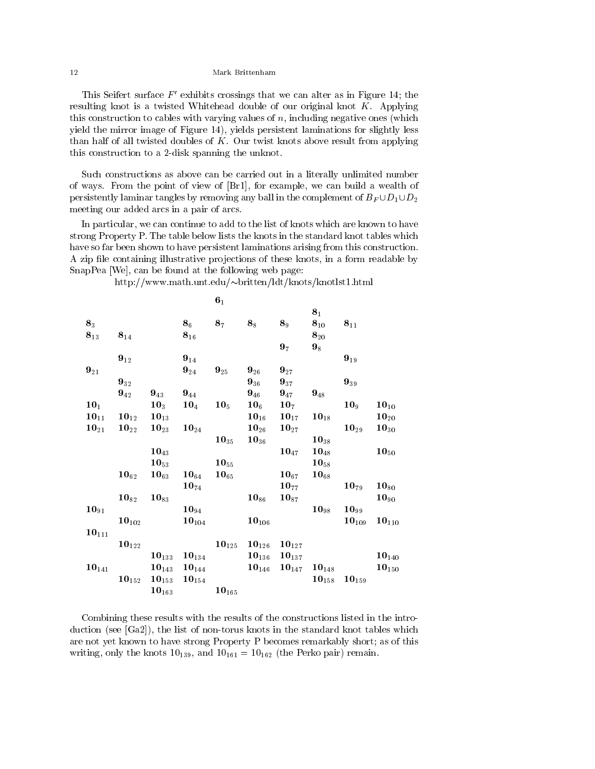This Seifert surface  $F'$  exhibits crossings that we can alter as in Figure 14; the resulting knot is a twisted Whitehead double of our original knot  $K$ . Applying this construction to cables with varying values of  $n$ , including negative ones (which yield the mirror image of Figure 14), yields persistent laminations for slightly less than half of all twisted doubles of  $K$ . Our twist knots above result from applying this construction to a 2-disk spanning the unknot.

Such constructions as above can be carried out in a literally unlimited number of ways. From the point of view of [Br1], for example, we can build a wealth of persistently laminar tangles by removing any ball in the complement of  $B_F \cup D_1 \cup D_2$ meeting our added arcs in a pair of arcs.

In particular, we can continue to add to the list of knots which are known to have strong Property P. The table below lists the knots in the standard knot tables which have so far been shown to have persistent laminations arising from this construction. A zip file containing illustrative projections of these knots, in a form readable by SnapPea [We], can be found at the following web page:

|                    |                     |                     |                     | $\mathbf{6}_1$      |                     |                       |                     |                     |                    |
|--------------------|---------------------|---------------------|---------------------|---------------------|---------------------|-----------------------|---------------------|---------------------|--------------------|
|                    |                     |                     |                     |                     |                     |                       | 8 <sub>1</sub>      |                     |                    |
| $8_3$              |                     |                     | $\mathbf{8}_6$      | 8 <sub>7</sub>      | $\mathbf{8}_8$      | $8_9$                 | $\mathbf{8}_{10}$   | $\mathbf{8}_{11}$   |                    |
| $8_{13}$           | $\mathbf{8}_{14}$   |                     | $\mathbf{8}_{16}$   |                     |                     |                       | $\mathbf{8}_{20}$   |                     |                    |
|                    |                     |                     |                     |                     |                     | 9 <sub>7</sub>        | $9_8$               |                     |                    |
|                    | $\mathbf{9}_{12}$   |                     | $\mathbf{9}_{14}$   |                     |                     |                       |                     | $9_{19}$            |                    |
| $9_{21}$           |                     |                     | $\mathbf{9}_{24}$   | $\mathbf{9}_{25}$   | $9_{26}$            | $9_{27}$              |                     |                     |                    |
|                    | $9_{32}$            |                     |                     |                     | $9_{36}$            | $\mathbf{9}_{37}$     |                     | $\mathbf{9}_{39}$   |                    |
|                    | $\mathbf{9}_{42}$   | $\mathbf{9}_{43}$   | $9_{44}$            |                     | $9_{46}$ $9_{47}$   |                       | $9_{48}$            |                     |                    |
| $\mathbf{10}_1$    |                     | $10_3$              | $\mathbf{10}_4$     | 10 <sub>5</sub>     |                     | $10_6$ $10_7$         |                     | 10 <sub>9</sub>     | $10_{10}$          |
| $10_{11}$          | $\mathbf{10}_{12}$  | $10_{13}$           |                     |                     | $\mathbf{10}_{16}$  | $10_{17}$             | $10_{18}$           |                     | $10_{20}$          |
| $\mathbf{10}_{21}$ | $\mathbf{10}_{22}$  | $\mathbf{10}_{23}$  | $\mathbf{10}_{24}$  |                     | $\mathbf{10}_{26}$  | $\mathbf{10}_{27}$    |                     | $10_{29}$           | $10_{30}$          |
|                    |                     |                     |                     | $\mathbf{10}_{35}$  | $\mathbf{10}_{36}$  |                       | $10_{38}$           |                     |                    |
|                    |                     | $10_{43}$           |                     |                     |                     | $10_{47}$             | $\bf{10}_{48}$      |                     | $\mathbf{10}_{50}$ |
|                    |                     | $10_{53}$           |                     | $10_{55}$           |                     |                       | $10_{58}$           |                     |                    |
|                    | $\mathbf{10}_{62}$  | $\mathbf{10}_{63}$  | $\mathbf{10}_{64}$  | $\mathbf{10}_{65}$  |                     | $\mathbf{10}_{67}$    | $10_{68}$           |                     |                    |
|                    |                     |                     | $\mathbf{10}_{74}$  |                     |                     | $\mathbf{10}_{77}$    |                     | $10_{79}$           | $10_{80}$          |
|                    | $\mathbf{10}_{82}$  | $10_{83}$           |                     |                     | $\mathbf{10}_{86}$  | $10_{87}$             |                     |                     | $10_{90}$          |
| $10_{91}$          |                     |                     | $\bf{10}_{94}$      |                     |                     |                       | $\bf{10}_{98}$      | $10_{99}$           |                    |
|                    | $10_{102}$          |                     | $\mathbf{10}_{104}$ |                     | $\mathbf{10}_{106}$ |                       |                     | $\mathbf{10}_{109}$ | $10_{110}$         |
| $10_{111}$         |                     |                     |                     |                     |                     |                       |                     |                     |                    |
|                    | $\mathbf{10}_{122}$ |                     |                     | $\mathbf{10}_{125}$ | $\mathbf{10}_{126}$ | $\mathbf{10}_{127}$   |                     |                     |                    |
|                    |                     | $\mathbf{10}_{133}$ | $\mathbf{10}_{134}$ |                     | $\mathbf{10}_{136}$ | $10_{137}$            |                     |                     | $10_{140}$         |
| $10_{141}$         |                     | $\mathbf{10}_{143}$ | $10_{144}$          |                     |                     | $10_{146}$ $10_{147}$ | $10_{148}$          |                     | $10_{150}$         |
|                    | $\mathbf{10}_{152}$ | $\mathbf{10}_{153}$ | $\mathbf{10}_{154}$ |                     |                     |                       | $\mathbf{10}_{158}$ | $10_{159}$          |                    |
|                    |                     |                     | $\mathbf{10}_{163}$ | $10_{165}$          |                     |                       |                     |                     |                    |

http://www.math.unt.edu/britten/ldt/knots/knotlst1.html

Combining these results with the results of the constructions listed in the introduction (see [Ga2]), the list of non-torus knots in the standard knot tables which are not yet known to have strong Property P becomes remarkably short; as of this writing, only the knots  $10_{139}$ , and  $10_{161} = 10_{162}$  (the Perko pair) remain.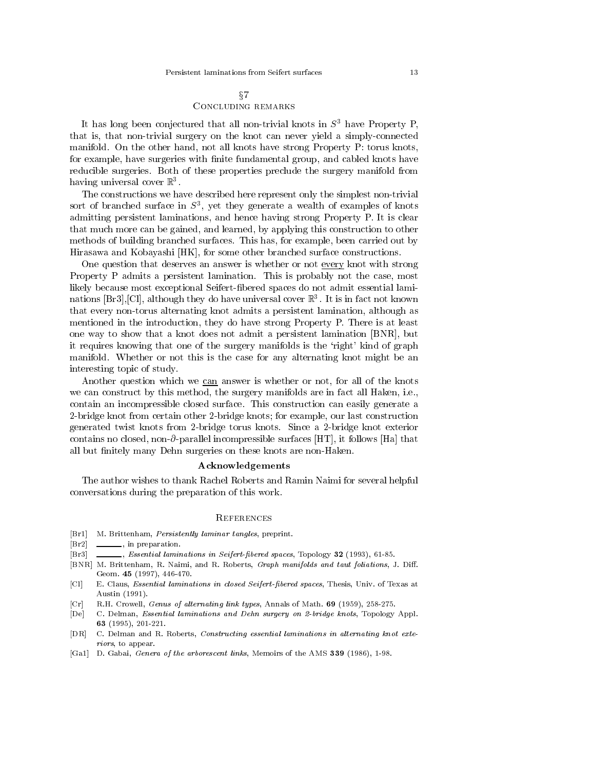# $\S7$ Concluding remarks

It has long been conjectured that all non-trivial knots in  $S<sup>3</sup>$  have Property P, that is, that non-trivial surgery on the knot can never yield a simply-connected manifold. On the other hand, not all knots have strong Property P: torus knots, for example, have surgeries with finite fundamental group, and cabled knots have reducible surgeries. Both of these properties preclude the surgery manifold from having universal cover  $\mathbb{R}^3$ .

The constructions we have described here represent only the simplest non-trivial sort of branched surface in  $5^\circ$ , yet they generate a wealth of examples of knots admitting persistent laminations, and hence having strong Property P. It is clear that much more can be gained, and learned, by applying this construction to other methods of building branched surfaces. This has, for example, been carried out by Hirasawa and Kobayashi [HK], for some other branched surface constructions.

One question that deserves an answer is whether or not every knot with strong Property P admits a persistent lamination. This is probably not the case, most likely because most exceptional Seifert-bered spaces do not admit essential laminations [Br3],[Cl], although they do have universal cover R3 . It is in fact not known that every non-torus alternating knot admits a persistent lamination, although as mentioned in the introduction, they do have strong Property P. There is at least one way to show that a knot does not admit a persistent lamination [BNR], but it requires knowing that one of the surgery manifolds is the `right' kind of graph manifold. Whether or not this is the case for any alternating knot might be an interesting topic of study.

Another question which we can answer is whether or not, for all of the knots we can construct by this method, the surgery manifolds are in fact all Haken, i.e., contain an incompressible closed surface. This construction can easily generate a 2-bridge knot from certain other 2-bridge knots; for example, our last construction generated twist knots from 2-bridge torus knots. Since a 2-bridge knot exterior contains no closed, non- $\partial$ -parallel incompressible surfaces [HT], it follows [Ha] that all but finitely many Dehn surgeries on these knots are non-Haken.

### Acknowledgements

The author wishes to thank Rachel Roberts and Ramin Naimi for several helpful conversations during the preparation of this work.

### **REFERENCES**

- M. Brittenham, Persistently laminar tangles, preprint.  $[Br1]$
- [Br2] , in preparation.
- $\Box$ , Essential laminations in Seifert-fibered spaces, Topology 32 (1993), 61-85.  $[Br3]$
- [BNR] M. Brittenham, R. Naimi, and R. Roberts, Graph manifolds and taut foliations, J. Diff. Geom. <sup>45</sup> (1997), 446-470.
- [Cl] E. Claus, Essential laminations in closed Seifert-bered spaces, Thesis, Univ. of Texas at Austin (1991).
- [Cr] R.H. Crowell, Genus of alternating link types, Annals of Math. <sup>69</sup> (1959), 258-275.
- [De] C. Delman, Essential laminations and Dehn surgery on 2-bridge knots, Topology Appl. <sup>63</sup> (1995), 201-221.
- [DR] C. Delman and R. Roberts, Constructing essential laminations in alternating knot exteriors, to appear. riors, to appear.
- [Ga1] D. Gabai, Genera of the arborescent links, Memoirs of the AMS <sup>339</sup> (1986), 1-98.